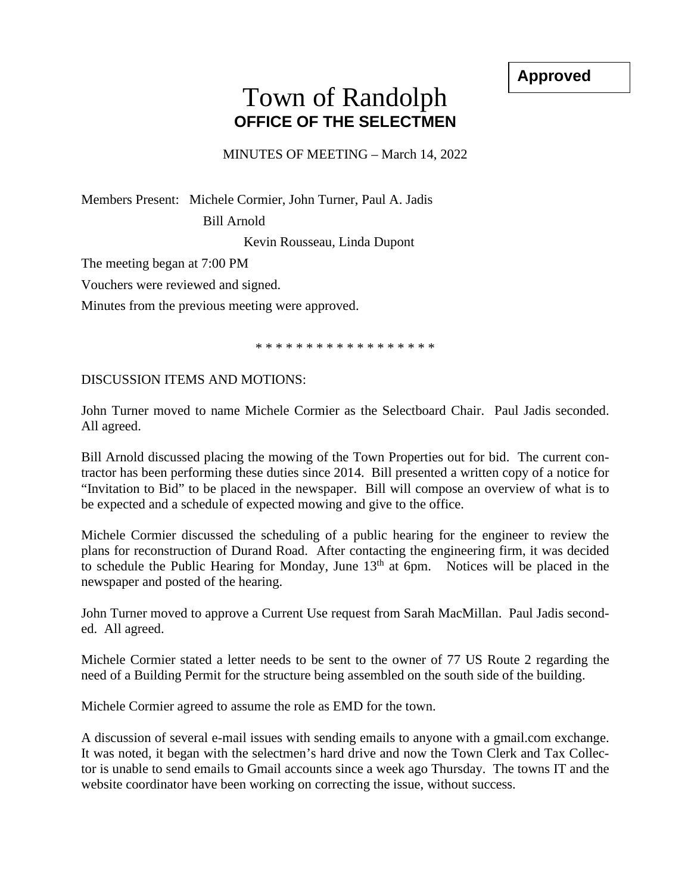**Approved**

## Town of Randolph **OFFICE OF THE SELECTMEN**

MINUTES OF MEETING – March 14, 2022

Members Present: Michele Cormier, John Turner, Paul A. Jadis

Bill Arnold

Kevin Rousseau, Linda Dupont

The meeting began at 7:00 PM

Vouchers were reviewed and signed.

Minutes from the previous meeting were approved.

\* \* \* \* \* \* \* \* \* \* \* \* \* \* \* \* \* \*

DISCUSSION ITEMS AND MOTIONS:

John Turner moved to name Michele Cormier as the Selectboard Chair. Paul Jadis seconded. All agreed.

Bill Arnold discussed placing the mowing of the Town Properties out for bid. The current contractor has been performing these duties since 2014. Bill presented a written copy of a notice for "Invitation to Bid" to be placed in the newspaper. Bill will compose an overview of what is to be expected and a schedule of expected mowing and give to the office.

Michele Cormier discussed the scheduling of a public hearing for the engineer to review the plans for reconstruction of Durand Road. After contacting the engineering firm, it was decided to schedule the Public Hearing for Monday, June  $13<sup>th</sup>$  at 6pm. Notices will be placed in the newspaper and posted of the hearing.

John Turner moved to approve a Current Use request from Sarah MacMillan. Paul Jadis seconded. All agreed.

Michele Cormier stated a letter needs to be sent to the owner of 77 US Route 2 regarding the need of a Building Permit for the structure being assembled on the south side of the building.

Michele Cormier agreed to assume the role as EMD for the town.

A discussion of several e-mail issues with sending emails to anyone with a gmail.com exchange. It was noted, it began with the selectmen's hard drive and now the Town Clerk and Tax Collector is unable to send emails to Gmail accounts since a week ago Thursday. The towns IT and the website coordinator have been working on correcting the issue, without success.